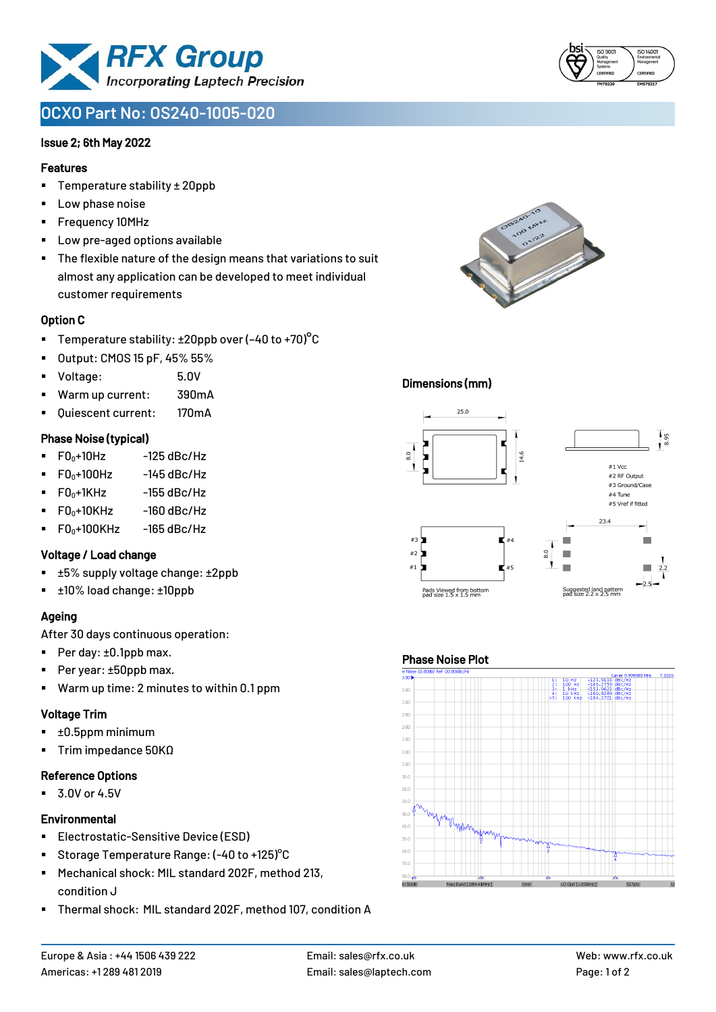

# **OCXO Part No: OS240-1005-020**

### Issue 2; 6th May 2022

#### Features

- Temperature stability ± 20ppb
- Low phase noise
- Frequency 10MHz
- Low pre-aged options available
- The flexible nature of the design means that variations to suit almost any application can be developed to meet individual customer requirements

### Option C

- **•** Temperature stability:  $\pm 20$ ppb over (-40 to +70)<sup>o</sup>C
- Output: CMOS 15 pF, 45% 55%
- Voltage: 5.0V
- Warm up current: 390mA
- Quiescent current: 170mA

### Phase Noise (typical)

- $\blacksquare$  F0 $\scriptstyle\bullet$ +10Hz -125 dBc/Hz
- $FO<sub>0</sub>+100Hz$  -145 dBc/Hz
- $F0_0+1$ KHz  $-155$  dBc/Hz
- $F0_0+10K$ Hz  $-160$  dBc/Hz
- $\blacksquare$  F0<sub>0</sub>+100KHz -165 dBc/Hz

### Voltage / Load change

- ±5% supply voltage change: ±2ppb
- ±10% load change: ±10ppb

## Ageing

After 30 days continuous operation:

- Per day: ±0.1ppb max.
- Per year: ±50ppb max.
- Warm up time: 2 minutes to within 0.1 ppm

# Voltage Trim

- ±0.5ppm minimum
- Trim impedance 50KΩ

# Reference Options

■ 3.0V or 4.5V

# **Environmental**

- **Electrostatic-Sensitive Device (ESD)**
- Storage Temperature Range: (-40 to +125) °C
- Mechanical shock: MIL standard 202F, method 213, condition J
- Thermal shock: MIL standard 202F, method 107, condition A



### Dimensions (mm)



### Phase Noise Plot